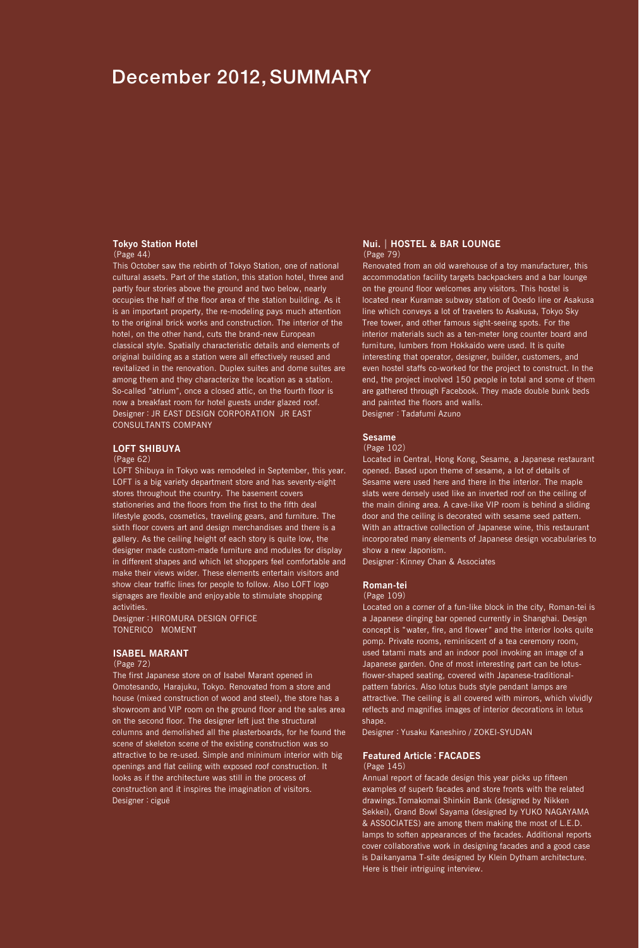# December 2012, SUMMARY

### **Tokyo Station Hotel** (Page 44)

This October saw the rebirth of Tokyo Station, one of national cultural assets. Part of the station, this station hotel, three and partly four stories above the ground and two below, nearly occupies the half of the floor area of the station building. As it is an important property, the re-modeling pays much attention to the original brick works and construction. The interior of the hotel, on the other hand, cuts the brand-new European classical style. Spatially characteristic details and elements of original building as a station were all effectively reused and revitalized in the renovation. Duplex suites and dome suites are among them and they characterize the location as a station. So-called "atrium", once a closed attic, on the fourth floor is now a breakfast room for hotel guests under glazed roof. Designer:JR EAST DESIGN CORPORATION JR EAST CONSULTANTS COMPANY

### **LOFT SHIBUYA**

#### (Page 62)

LOFT Shibuya in Tokyo was remodeled in September, this year. LOFT is a big variety department store and has seventy-eight stores throughout the country. The basement covers stationeries and the floors from the first to the fifth deal lifestyle goods, cosmetics, traveling gears, and furniture. The sixth floor covers art and design merchandises and there is a gallery. As the ceiling height of each story is quite low, the designer made custom-made furniture and modules for display in different shapes and which let shoppers feel comfortable and make their views wider. These elements entertain visitors and show clear traffic lines for people to follow. Also LOFT logo signages are flexible and enjoyable to stimulate shopping activities.

Designer:HIROMURA DESIGN OFFICE TONERICO MOMENT

### **ISABEL MARANT**

### (Page 72)

The first Japanese store on of Isabel Marant opened in Omotesando, Harajuku, Tokyo. Renovated from a store and house (mixed construction of wood and steel), the store has a showroom and VIP room on the ground floor and the sales area on the second floor. The designer left just the structural columns and demolished all the plasterboards, for he found the scene of skeleton scene of the existing construction was so attractive to be re-used. Simple and minimum interior with big openings and flat ceiling with exposed roof construction. It looks as if the architecture was still in the process of construction and it inspires the imagination of visitors. Designer: ciguë

#### **Nui.**|**HOSTEL & BAR LOUNGE** (Page 79)

Renovated from an old warehouse of a toy manufacturer, this accommodation facility targets backpackers and a bar lounge on the ground floor welcomes any visitors. This hostel is located near Kuramae subway station of Ooedo line or Asakusa line which conveys a lot of travelers to Asakusa, Tokyo Sky Tree tower, and other famous sight-seeing spots. For the interior materials such as a ten-meter long counter board and furniture, lumbers from Hokkaido were used. It is quite interesting that operator, designer, builder, customers, and even hostel staffs co-worked for the project to construct. In the end, the project involved 150 people in total and some of them are gathered through Facebook. They made double bunk beds and painted the floors and walls.

Designer: Tadafumi Azuno

## **Sesame**

#### (Page 102)

Located in Central, Hong Kong, Sesame, a Japanese restaurant opened. Based upon theme of sesame, a lot of details of Sesame were used here and there in the interior. The maple slats were densely used like an inverted roof on the ceiling of the main dining area. A cave-like VIP room is behind a sliding door and the ceiling is decorated with sesame seed pattern. With an attractive collection of Japanese wine, this restaurant incorporated many elements of Japanese design vocabularies to show a new Japonism.

Designer:Kinney Chan & Associates

### **Roman-tei**

#### (Page 109)

Located on a corner of a fun-like block in the city, Roman-tei is a Japanese dinging bar opened currently in Shanghai. Design concept is "water, fire, and flower" and the interior looks quite pomp. Private rooms, reminiscent of a tea ceremony room, used tatami mats and an indoor pool invoking an image of a Japanese garden. One of most interesting part can be lotusflower-shaped seating, covered with Japanese-traditionalpattern fabrics. Also lotus buds style pendant lamps are attractive. The ceiling is all covered with mirrors, which vividly reflects and magnifies images of interior decorations in lotus shape.

Designer:Yusaku Kaneshiro / ZOKEI-SYUDAN

### **Featured Article**:**FACADES**

#### (Page 145)

Annual report of facade design this year picks up fifteen examples of superb facades and store fronts with the related drawings.Tomakomai Shinkin Bank (designed by Nikken Sekkei), Grand Bowl Sayama (designed by YUKO NAGAYAMA & ASSOCIATES) are among them making the most of L.E.D. lamps to soften appearances of the facades. Additional reports cover collaborative work in designing facades and a good case is Daikanyama T-site designed by Klein Dytham architecture. Here is their intriguing interview.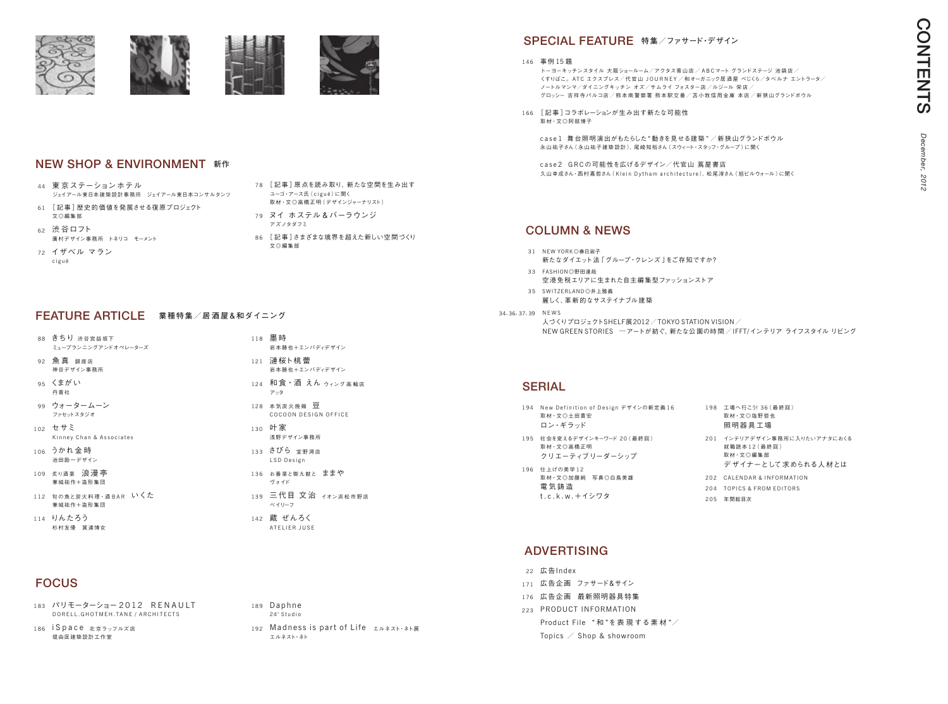- 183 パリモーターショー 2012 RENAULT D O R E L L . G H O T M E H . T A N E / A R C H I T E C T S
- 186 i Space 北京ラッフルズ店 堤由匡建築設計工作室

| 194 New Definition of Design デザインの新定義16<br>取材·文◎土田貴宏<br>ロン・ギラッド | 198 工場へ行こ<br>取材·文◎:<br>照明器具              |
|-----------------------------------------------------------------|------------------------------------------|
| 195 社会を変えるデザインキーワード 20 ( 最終 回 )<br>取材·文◎高橋正明<br>クリエーティブリーダーシップ  | 201 インテリアう<br>就職読本1<br>取材·文◎<br>デザイナ     |
| 196 仕上げの美学12<br>取材·文◎加藤純 写真◎白鳥美雄<br>電 気 鋳 造<br>t.c.k.w. + イシワタ  | 202 CALENDA<br>204 TOPICS &<br>205 年間総目次 |

# **ADVERTISING**

- 44 東 京 ステーション ホテル ジェイアール東日本建築設計事務所 ジェイアール東日本コンサルタンツ
- 61 「記事 ]歴史的価値を発展させる復原プロジェクト 文◎編集部
- 62 渋 谷ロフト 廣村デザイン事務所 トネリコ モーメント
- 72 イザベル マラン c i g u ë
- FEATURE ARTICLE **業種特集/居 <sup>酒</sup> 屋&和ダイニング**
- 88 きちり 渋谷宮益坂下 ミュープランニングアンドオペレーターズ
- 92 魚真 銀座店 神谷デザイン事務所
- 95 くまがい 丹青社
- 99 ウォータームーン ファセットスタジオ
- 102 セサミ Kinney Chan & Associates
- 106 うかれ金時 池田励一デザイン
- 109 炙り酒菜 浪漫亭 兼城祐作+造形集団
- 112 旬の魚と炭火料理 · 酒BAR いくた 兼城祐作+造形集団
- 114 りんたろう 杉村友優 箕浦博女

トーヨーキッチンスタイル 大阪ショールーム/アクタス青山店 / A B C マート グランドステージ 池袋店 / くすりばこ。ATC エクスプレス/代官山 JOURNEY/和オーガニック居酒屋 べじくら/タベルナ エントラータ/ ノートルマンマ/ダイニングキッチン オズ/サムライ フォスター店 /ルジール 栄店 / グロッシー 吉祥寺パルコ店/熊本南警察署 熊本駅交番/苫小牧信用金庫 本店/新狭山グランドボウル

# FOCUS

166 [記事]コラボレーションが生み出す新たな可能性 取材・文◎阿部博子

- 118 墨 時 岩本勝也+エンバディデザイン
- 121 漣桜ト桃蕾 岩本勝也+エンバディデザイン
- 124 和食・酒 えん ゥィング高輪店 アッタ
- 128 本 気 炭 火 焼 鶏 豆 COCOON DESIGN OFFICE
- 130 叶 家 浅野デザイン事務所
- 133 さびら 宜野湾店 LSD Design
- 136 お番菜と御九献と ままや ヴォイド
- 139 三代目 文治 イオン浜松市野店 ベイリーフ
- 142 蔵 ぜんろく AT ELIER JUSE
- 189 Daphne 24° Studio
	- 192 Madness is part of Life エルネスト・ネト展 エルネスト・ネト

case1 舞台照明演出がもたらした"動きを見せる建築"/新狭山グランドボウル 永山祐子さん( 永山祐子建築設計 )、尾崎知裕さん(スウィート・スタッフ・グループ )に聞く

case2 GRCの可能性を広げるデザイン/代官山 蔦屋書店 久山幸成さん・西村嘉哲さん ( Klein Dytham architecture)、松尾淳さん ( 旭ビルウォール) に聞く

- 31 NEW YORK◎春日淑子 新たなダイエット法「グループ・クレンズ」をご存知ですか?
- 33 FASHION◎野田達哉 空港免税エリアに生まれた自主編集型ファッションストア 35 SWITZERLAND◎井上雅義
	- 麗しく、革新的なサステイナブル建築
- 34、36、37、39 NEWS

- 22 広告Index
- 171 広告企画 ファサード&サイン
- 176 広告企画 最新照明器具特集
- 223 PRODUCT INFORMATION Product File " 和 "を表 現 する素 材 "/ Topics  $\angle$  Shop & showroom

146 事例 15 題

# SPECIAL FEATURE **特集/ファサード・デザイン**

人づくりプロジェクトSHELF展2012/TOKYO STATION VISION/ NEW GREEN STORIES ̶アートが紡ぐ、新たな公 園の時間 /IFFT/インテリア ライフスタイル リビング

# **SERIAL**

# Column & news



# NEW SHOP & ENVIRONMENT **新作**

取材・文◎高橋正明( デザインジャーナリスト)

December, *December, 2012* 2012

:う! 36 (最終回) 塩野哲也 照明器具工場 デザイン事務所に入りたいアナタにおくる 2 ( 最 終 回 ) 編集部 ーとして求められる人材とは **R & INFORMATION** 

FROM EDITORS

## 79 ヌイ ホステル&バーラウンジ アズノタダフミ 86 [ 記事 ]さまざまな境界を超えた新しい空間づくり 文◎編集部

ユーゴ・アース氏 ( c i g u ë ) に聞く

78 [記事]原点を読み取り、新たな空間を生み出す